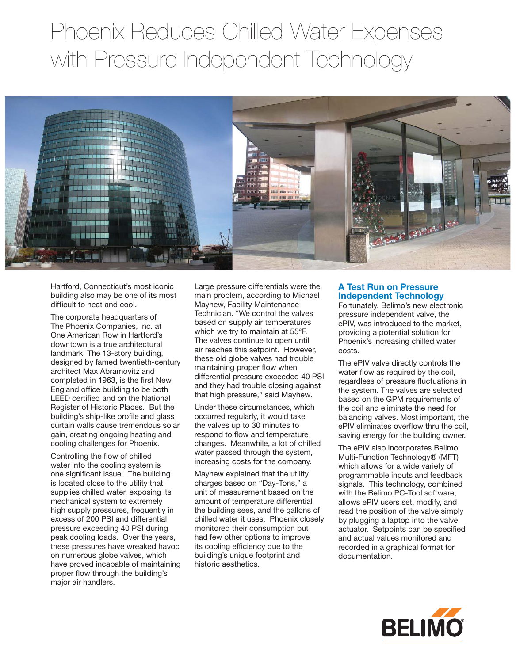# Phoenix Reduces Chilled Water Expenses with Pressure Independent Technology



Hartford, Connecticut's most iconic building also may be one of its most difficult to heat and cool.

The corporate headquarters of The Phoenix Companies, Inc. at One American Row in Hartford's downtown is a true architectural landmark. The 13-story building, designed by famed twentieth-century architect Max Abramovitz and completed in 1963, is the first New England office building to be both LEED certified and on the National Register of Historic Places. But the building's ship-like profile and glass curtain walls cause tremendous solar gain, creating ongoing heating and cooling challenges for Phoenix.

Controlling the flow of chilled water into the cooling system is one significant issue. The building is located close to the utility that supplies chilled water, exposing its mechanical system to extremely high supply pressures, frequently in excess of 200 PSI and differential pressure exceeding 40 PSI during peak cooling loads. Over the years, these pressures have wreaked havoc on numerous globe valves, which have proved incapable of maintaining proper flow through the building's major air handlers.

Large pressure differentials were the main problem, according to Michael Mayhew, Facility Maintenance Technician. "We control the valves based on supply air temperatures which we try to maintain at 55°F. The valves continue to open until air reaches this setpoint. However, these old globe valves had trouble maintaining proper flow when differential pressure exceeded 40 PSI and they had trouble closing against that high pressure," said Mayhew.

Under these circumstances, which occurred regularly, it would take the valves up to 30 minutes to respond to flow and temperature changes. Meanwhile, a lot of chilled water passed through the system, increasing costs for the company.

Mayhew explained that the utility charges based on "Day-Tons," a unit of measurement based on the amount of temperature differential the building sees, and the gallons of chilled water it uses. Phoenix closely monitored their consumption but had few other options to improve its cooling efficiency due to the building's unique footprint and historic aesthetics.

## **A Test Run on Pressure Independent Technology**

Fortunately, Belimo's new electronic pressure independent valve, the ePIV, was introduced to the market, providing a potential solution for Phoenix's increasing chilled water costs.

The ePIV valve directly controls the water flow as required by the coil, regardless of pressure fluctuations in the system. The valves are selected based on the GPM requirements of the coil and eliminate the need for balancing valves. Most important, the ePIV eliminates overflow thru the coil, saving energy for the building owner.

The ePIV also incorporates Belimo Multi-Function Technology® (MFT) which allows for a wide variety of programmable inputs and feedback signals. This technology, combined with the Belimo PC-Tool software. allows ePIV users set, modify, and read the position of the valve simply by plugging a laptop into the valve actuator. Setpoints can be specified and actual values monitored and recorded in a graphical format for documentation.